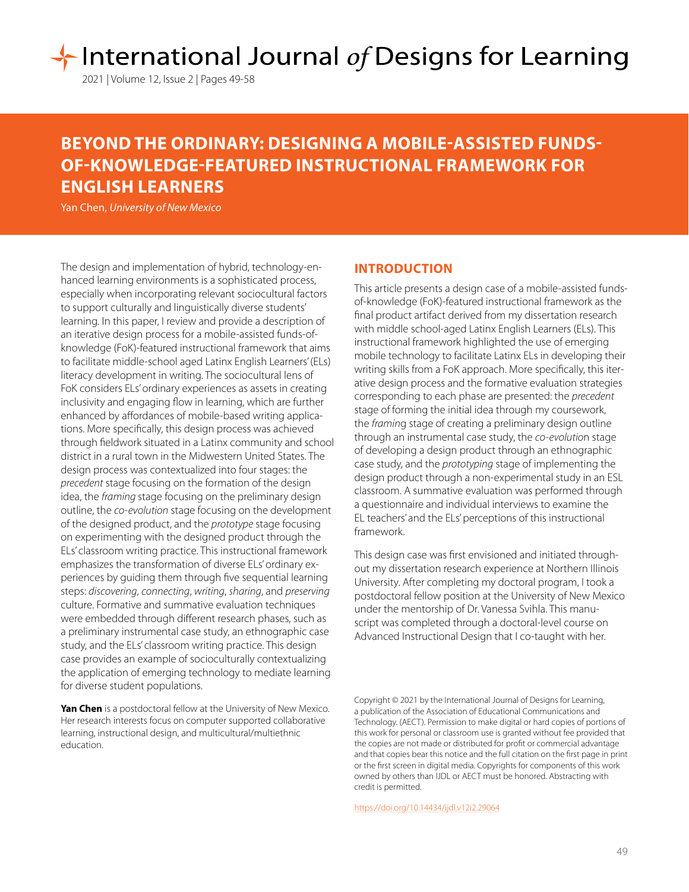# **1 International Journal of Designs for Learning**

# **BEYOND THE ORDINARY: DESIGNING A MOBILE-ASSISTED FUNDS-OF-KNOWLEDGE-FEATURED INSTRUCTIONAL FRAMEWORK FOR ENGLISH LEARNERS**

Yan Chen, *University of New Mexico*

The design and implementation of hybrid, technology-enhanced learning environments is a sophisticated process, especially when incorporating relevant sociocultural factors to support culturally and linguistically diverse students' learning. In this paper, I review and provide a description of an iterative design process for a mobile-assisted funds-ofknowledge (FoK)-featured instructional framework that aims to facilitate middle-school aged Latinx English Learners' (ELs) literacy development in writing. The sociocultural lens of FoK considers ELs' ordinary experiences as assets in creating inclusivity and engaging flow in learning, which are further enhanced by affordances of mobile-based writing applications. More specifically, this design process was achieved through fieldwork situated in a Latinx community and school district in a rural town in the Midwestern United States. The design process was contextualized into four stages: the *precedent* stage focusing on the formation of the design idea, the *framing* stage focusing on the preliminary design outline, the *co-evolution* stage focusing on the development of the designed product, and the *prototype* stage focusing on experimenting with the designed product through the ELs' classroom writing practice. This instructional framework emphasizes the transformation of diverse ELs' ordinary experiences by guiding them through five sequential learning steps: *discovering*, *connecting*, *writing*, *sharing*, and *preserving*  culture. Formative and summative evaluation techniques were embedded through different research phases, such as a preliminary instrumental case study, an ethnographic case study, and the ELs' classroom writing practice. This design case provides an example of socioculturally contextualizing the application of emerging technology to mediate learning for diverse student populations.

**Yan Chen** is a postdoctoral fellow at the University of New Mexico. Her research interests focus on computer supported collaborative learning, instructional design, and multicultural/multiethnic education.

# **INTRODUCTION**

This article presents a design case of a mobile-assisted fundsof-knowledge (FoK)-featured instructional framework as the final product artifact derived from my dissertation research with middle school-aged Latinx English Learners (ELs). This instructional framework highlighted the use of emerging mobile technology to facilitate Latinx ELs in developing their writing skills from a FoK approach. More specifically, this iterative design process and the formative evaluation strategies corresponding to each phase are presented: the *precedent*  stage of forming the initial idea through my coursework, the *framin*g stage of creating a preliminary design outline through an instrumental case study, the *co-evolutio*n stage of developing a design product through an ethnographic case study, and the *prototyping* stage of implementing the design product through a non-experimental study in an ESL classroom. A summative evaluation was performed through a questionnaire and individual interviews to examine the EL teachers' and the ELs' perceptions of this instructional framework.

This design case was first envisioned and initiated throughout my dissertation research experience at Northern Illinois University. After completing my doctoral program, I took a postdoctoral fellow position at the University of New Mexico under the mentorship of Dr. Vanessa Svihla. This manuscript was completed through a doctoral-level course on Advanced Instructional Design that I co-taught with her.

Copyright © 2021 by the International Journal of Designs for Learning, a publication of the Association of Educational Communications and Technology. (AECT). Permission to make digital or hard copies of portions of this work for personal or classroom use is granted without fee provided that the copies are not made or distributed for profit or commercial advantage and that copies bear this notice and the full citation on the first page in print or the first screen in digital media. Copyrights for components of this work owned by others than IJDL or AECT must be honored. Abstracting with credit is permitted.

[https://doi.org/](https://doi.org/10.14434/ijdl.v12i2.29064)10.14434/ijdl.v12i2.29064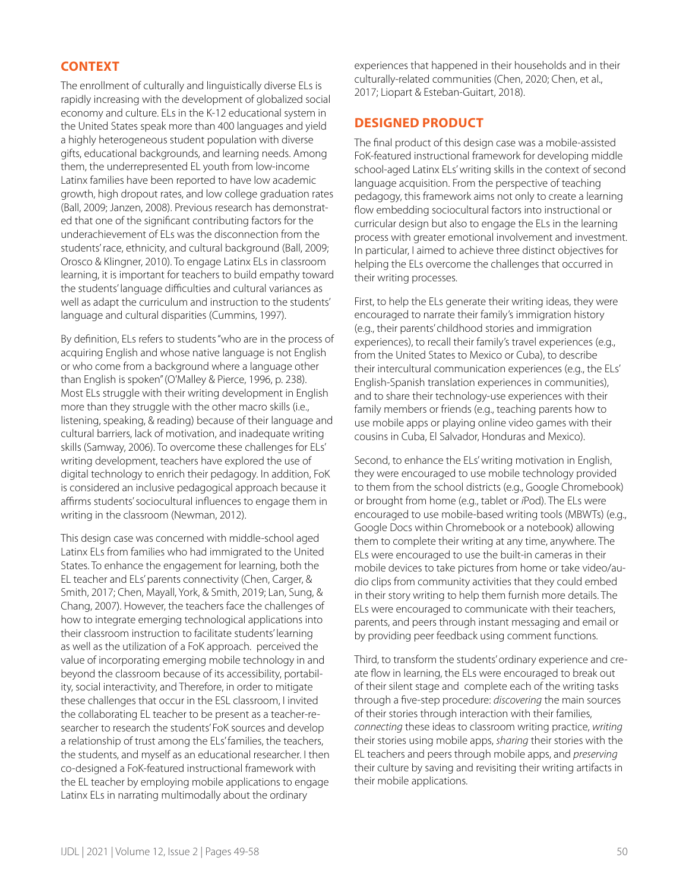# **CONTEXT**

The enrollment of culturally and linguistically diverse ELs is rapidly increasing with the development of globalized social economy and culture. ELs in the K-12 educational system in the United States speak more than 400 languages and yield a highly heterogeneous student population with diverse gifts, educational backgrounds, and learning needs. Among them, the underrepresented EL youth from low-income Latinx families have been reported to have low academic growth, high dropout rates, and low college graduation rates (Ball, 2009; Janzen, 2008). Previous research has demonstrated that one of the significant contributing factors for the underachievement of ELs was the disconnection from the students' race, ethnicity, and cultural background (Ball, 2009; Orosco & Klingner, 2010). To engage Latinx ELs in classroom learning, it is important for teachers to build empathy toward the students' language difficulties and cultural variances as well as adapt the curriculum and instruction to the students' language and cultural disparities (Cummins, 1997).

By definition, ELs refers to students "who are in the process of acquiring English and whose native language is not English or who come from a background where a language other than English is spoken" (O'Malley & Pierce, 1996, p. 238). Most ELs struggle with their writing development in English more than they struggle with the other macro skills (i.e., listening, speaking, & reading) because of their language and cultural barriers, lack of motivation, and inadequate writing skills (Samway, 2006). To overcome these challenges for ELs' writing development, teachers have explored the use of digital technology to enrich their pedagogy. In addition, FoK is considered an inclusive pedagogical approach because it affirms students' sociocultural influences to engage them in writing in the classroom (Newman, 2012).

This design case was concerned with middle-school aged Latinx ELs from families who had immigrated to the United States. To enhance the engagement for learning, both the EL teacher and ELs' parents connectivity (Chen, Carger, & Smith, 2017; Chen, Mayall, York, & Smith, 2019; Lan, Sung, & Chang, 2007). However, the teachers face the challenges of how to integrate emerging technological applications into their classroom instruction to facilitate students' learning as well as the utilization of a FoK approach. perceived the value of incorporating emerging mobile technology in and beyond the classroom because of its accessibility, portability, social interactivity, and Therefore, in order to mitigate these challenges that occur in the ESL classroom, I invited the collaborating EL teacher to be present as a teacher-researcher to research the students' FoK sources and develop a relationship of trust among the ELs' families, the teachers, the students, and myself as an educational researcher. I then co-designed a FoK-featured instructional framework with the EL teacher by employing mobile applications to engage Latinx ELs in narrating multimodally about the ordinary

experiences that happened in their households and in their culturally-related communities (Chen, 2020; Chen, et al., 2017; Liopart & Esteban-Guitart, 2018).

## **DESIGNED PRODUCT**

The final product of this design case was a mobile-assisted FoK-featured instructional framework for developing middle school-aged Latinx ELs' writing skills in the context of second language acquisition. From the perspective of teaching pedagogy, this framework aims not only to create a learning flow embedding sociocultural factors into instructional or curricular design but also to engage the ELs in the learning process with greater emotional involvement and investment. In particular, I aimed to achieve three distinct objectives for helping the ELs overcome the challenges that occurred in their writing processes.

First, to help the ELs generate their writing ideas, they were encouraged to narrate their family's immigration history (e.g., their parents' childhood stories and immigration experiences), to recall their family's travel experiences (e.g., from the United States to Mexico or Cuba), to describe their intercultural communication experiences (e.g., the ELs' English-Spanish translation experiences in communities), and to share their technology-use experiences with their family members or friends (e.g., teaching parents how to use mobile apps or playing online video games with their cousins in Cuba, El Salvador, Honduras and Mexico).

Second, to enhance the ELs' writing motivation in English, they were encouraged to use mobile technology provided to them from the school districts (e.g., Google Chromebook) or brought from home (e.g., tablet or *i*Pod). The ELs were encouraged to use mobile-based writing tools (MBWTs) (e.g., Google Docs within Chromebook or a notebook) allowing them to complete their writing at any time, anywhere. The ELs were encouraged to use the built-in cameras in their mobile devices to take pictures from home or take video/audio clips from community activities that they could embed in their story writing to help them furnish more details. The ELs were encouraged to communicate with their teachers, parents, and peers through instant messaging and email or by providing peer feedback using comment functions.

Third, to transform the students' ordinary experience and create flow in learning, the ELs were encouraged to break out of their silent stage and complete each of the writing tasks through a five-step procedure: *discovering* the main sources of their stories through interaction with their families, *connecting* these ideas to classroom writing practice, *writing* their stories using mobile apps, *sharing* their stories with the EL teachers and peers through mobile apps, and *preserving*  their culture by saving and revisiting their writing artifacts in their mobile applications.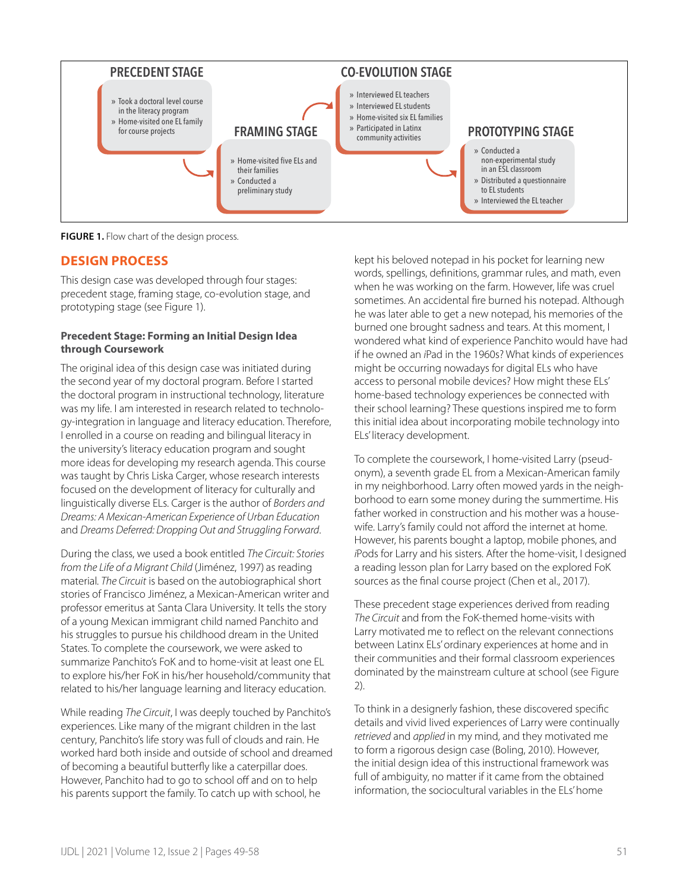

**FIGURE 1.** Flow chart of the design process.

# **DESIGN PROCESS**

This design case was developed through four stages: precedent stage, framing stage, co-evolution stage, and prototyping stage (see Figure 1).

#### **Precedent Stage: Forming an Initial Design Idea through Coursework**

The original idea of this design case was initiated during the second year of my doctoral program. Before I started the doctoral program in instructional technology, literature was my life. I am interested in research related to technology-integration in language and literacy education. Therefore, I enrolled in a course on reading and bilingual literacy in the university's literacy education program and sought more ideas for developing my research agenda. This course was taught by Chris Liska Carger, whose research interests focused on the development of literacy for culturally and linguistically diverse ELs. Carger is the author of *Borders and Dreams: A Mexican-American Experience of Urban Education* and *Dreams Deferred: Dropping Out and Struggling Forward*.

During the class, we used a book entitled *The Circuit: Stories from the Life of a Migrant Child* (Jiménez, 1997) as reading material*. The Circuit* is based on the autobiographical short stories of Francisco Jiménez, a Mexican-American writer and professor emeritus at Santa Clara University. It tells the story of a young Mexican immigrant child named Panchito and his struggles to pursue his childhood dream in the United States. To complete the coursework, we were asked to summarize Panchito's FoK and to home-visit at least one EL to explore his/her FoK in his/her household/community that related to his/her language learning and literacy education.

While reading *The Circuit*, I was deeply touched by Panchito's experiences. Like many of the migrant children in the last century, Panchito's life story was full of clouds and rain. He worked hard both inside and outside of school and dreamed of becoming a beautiful butterfly like a caterpillar does. However, Panchito had to go to school off and on to help his parents support the family. To catch up with school, he

kept his beloved notepad in his pocket for learning new words, spellings, definitions, grammar rules, and math, even when he was working on the farm. However, life was cruel sometimes. An accidental fire burned his notepad. Although he was later able to get a new notepad, his memories of the burned one brought sadness and tears. At this moment, I wondered what kind of experience Panchito would have had if he owned an *i*Pad in the 1960s? What kinds of experiences might be occurring nowadays for digital ELs who have access to personal mobile devices? How might these ELs' home-based technology experiences be connected with their school learning? These questions inspired me to form this initial idea about incorporating mobile technology into ELs' literacy development.

To complete the coursework, I home-visited Larry (pseudonym), a seventh grade EL from a Mexican-American family in my neighborhood. Larry often mowed yards in the neighborhood to earn some money during the summertime. His father worked in construction and his mother was a housewife. Larry's family could not afford the internet at home. However, his parents bought a laptop, mobile phones, and *i*Pods for Larry and his sisters. After the home-visit, I designed a reading lesson plan for Larry based on the explored FoK sources as the final course project (Chen et al., 2017).

These precedent stage experiences derived from reading *The Circuit* and from the FoK-themed home-visits with Larry motivated me to reflect on the relevant connections between Latinx ELs' ordinary experiences at home and in their communities and their formal classroom experiences dominated by the mainstream culture at school (see Figure 2).

To think in a designerly fashion, these discovered specific details and vivid lived experiences of Larry were continually *retrieved* and *applied* in my mind, and they motivated me to form a rigorous design case (Boling, 2010). However, the initial design idea of this instructional framework was full of ambiguity, no matter if it came from the obtained information, the sociocultural variables in the ELs' home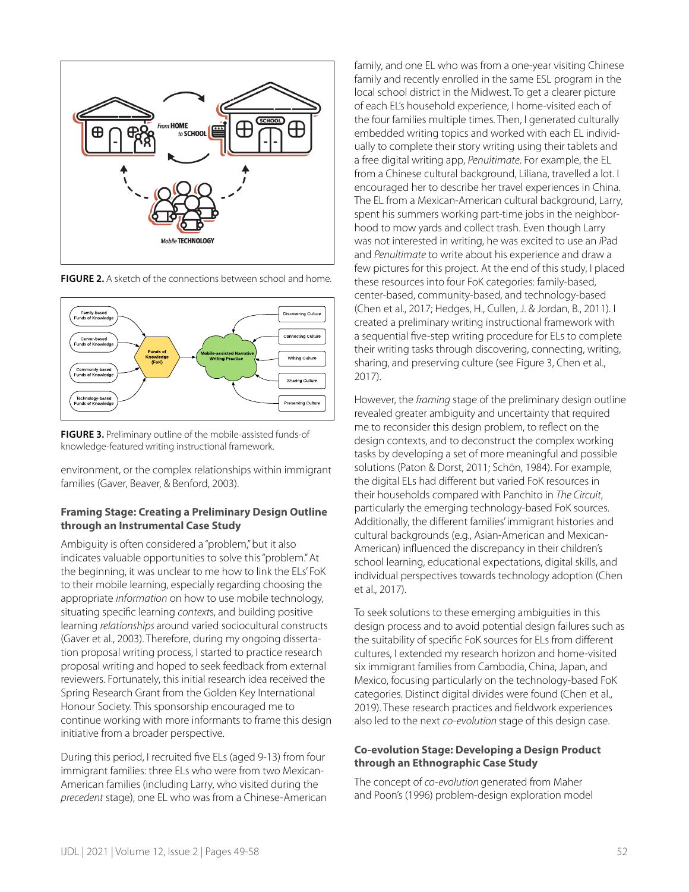

**FIGURE 2.** A sketch of the connections between school and home.



**FIGURE 3.** Preliminary outline of the mobile-assisted funds-of knowledge-featured writing instructional framework.

environment, or the complex relationships within immigrant families (Gaver, Beaver, & Benford, 2003).

#### **Framing Stage: Creating a Preliminary Design Outline through an Instrumental Case Study**

Ambiguity is often considered a "problem," but it also indicates valuable opportunities to solve this "problem." At the beginning, it was unclear to me how to link the ELs' FoK to their mobile learning, especially regarding choosing the appropriate *information* on how to use mobile technology, situating specific learning *context*s, and building positive learning *relationships* around varied sociocultural constructs (Gaver et al., 2003). Therefore, during my ongoing dissertation proposal writing process, I started to practice research proposal writing and hoped to seek feedback from external reviewers. Fortunately, this initial research idea received the Spring Research Grant from the Golden Key International Honour Society. This sponsorship encouraged me to continue working with more informants to frame this design initiative from a broader perspective.

During this period, I recruited five ELs (aged 9-13) from four immigrant families: three ELs who were from two Mexican-American families (including Larry, who visited during the *precedent* stage), one EL who was from a Chinese-American family, and one EL who was from a one-year visiting Chinese family and recently enrolled in the same ESL program in the local school district in the Midwest. To get a clearer picture of each EL's household experience, I home-visited each of the four families multiple times. Then, I generated culturally embedded writing topics and worked with each EL individually to complete their story writing using their tablets and a free digital writing app, *Penultimate*. For example, the EL from a Chinese cultural background, Liliana, travelled a lot. I encouraged her to describe her travel experiences in China. The EL from a Mexican-American cultural background, Larry, spent his summers working part-time jobs in the neighborhood to mow yards and collect trash. Even though Larry was not interested in writing, he was excited to use an *i*Pad and *Penultimate* to write about his experience and draw a few pictures for this project. At the end of this study, I placed these resources into four FoK categories: family-based, center-based, community-based, and technology-based (Chen et al., 2017; Hedges, H., Cullen, J. & Jordan, B., 2011). I created a preliminary writing instructional framework with a sequential five-step writing procedure for ELs to complete their writing tasks through discovering, connecting, writing, sharing, and preserving culture (see Figure 3, Chen et al., 2017).

However, the *framing* stage of the preliminary design outline revealed greater ambiguity and uncertainty that required me to reconsider this design problem, to reflect on the design contexts, and to deconstruct the complex working tasks by developing a set of more meaningful and possible solutions (Paton & Dorst, 2011; Schön, 1984). For example, the digital ELs had different but varied FoK resources in their households compared with Panchito in *The Circuit*, particularly the emerging technology-based FoK sources. Additionally, the different families' immigrant histories and cultural backgrounds (e.g., Asian-American and Mexican-American) influenced the discrepancy in their children's school learning, educational expectations, digital skills, and individual perspectives towards technology adoption (Chen et al., 2017).

To seek solutions to these emerging ambiguities in this design process and to avoid potential design failures such as the suitability of specific FoK sources for ELs from different cultures, I extended my research horizon and home-visited six immigrant families from Cambodia, China, Japan, and Mexico, focusing particularly on the technology-based FoK categories. Distinct digital divides were found (Chen et al., 2019). These research practices and fieldwork experiences also led to the next *co-evolution* stage of this design case.

#### **Co-evolution Stage: Developing a Design Product through an Ethnographic Case Study**

The concept of *co-evolution* generated from Maher and Poon's (1996) problem-design exploration model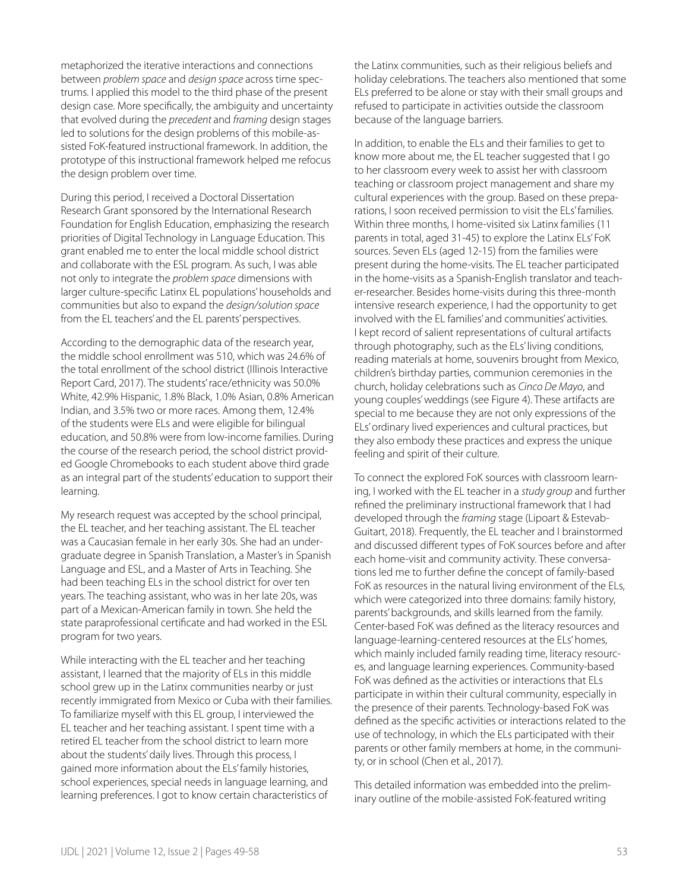metaphorized the iterative interactions and connections between *problem space* and *design space* across time spectrums. I applied this model to the third phase of the present design case. More specifically, the ambiguity and uncertainty that evolved during the *precedent* and *framing* design stages led to solutions for the design problems of this mobile-assisted FoK-featured instructional framework. In addition, the prototype of this instructional framework helped me refocus the design problem over time.

During this period, I received a Doctoral Dissertation Research Grant sponsored by the International Research Foundation for English Education, emphasizing the research priorities of Digital Technology in Language Education. This grant enabled me to enter the local middle school district and collaborate with the ESL program. As such, I was able not only to integrate the *problem space* dimensions with larger culture-specific Latinx EL populations' households and communities but also to expand the *design/solution space* from the EL teachers' and the EL parents' perspectives.

According to the demographic data of the research year, the middle school enrollment was 510, which was 24.6% of the total enrollment of the school district (Illinois Interactive Report Card, 2017). The students' race/ethnicity was 50.0% White, 42.9% Hispanic, 1.8% Black, 1.0% Asian, 0.8% American Indian, and 3.5% two or more races. Among them, 12.4% of the students were ELs and were eligible for bilingual education, and 50.8% were from low-income families. During the course of the research period, the school district provided Google Chromebooks to each student above third grade as an integral part of the students' education to support their learning.

My research request was accepted by the school principal, the EL teacher, and her teaching assistant. The EL teacher was a Caucasian female in her early 30s. She had an undergraduate degree in Spanish Translation, a Master's in Spanish Language and ESL, and a Master of Arts in Teaching. She had been teaching ELs in the school district for over ten years. The teaching assistant, who was in her late 20s, was part of a Mexican-American family in town. She held the state paraprofessional certificate and had worked in the ESL program for two years.

While interacting with the EL teacher and her teaching assistant, I learned that the majority of ELs in this middle school grew up in the Latinx communities nearby or just recently immigrated from Mexico or Cuba with their families. To familiarize myself with this EL group, I interviewed the EL teacher and her teaching assistant. I spent time with a retired EL teacher from the school district to learn more about the students' daily lives. Through this process, I gained more information about the ELs' family histories, school experiences, special needs in language learning, and learning preferences. I got to know certain characteristics of

the Latinx communities, such as their religious beliefs and holiday celebrations. The teachers also mentioned that some ELs preferred to be alone or stay with their small groups and refused to participate in activities outside the classroom because of the language barriers.

In addition, to enable the ELs and their families to get to know more about me, the EL teacher suggested that I go to her classroom every week to assist her with classroom teaching or classroom project management and share my cultural experiences with the group. Based on these preparations, I soon received permission to visit the ELs' families. Within three months, I home-visited six Latinx families (11 parents in total, aged 31-45) to explore the Latinx ELs' FoK sources. Seven ELs (aged 12-15) from the families were present during the home-visits. The EL teacher participated in the home-visits as a Spanish-English translator and teacher-researcher. Besides home-visits during this three-month intensive research experience, I had the opportunity to get involved with the EL families' and communities' activities. I kept record of salient representations of cultural artifacts through photography, such as the ELs' living conditions, reading materials at home, souvenirs brought from Mexico, children's birthday parties, communion ceremonies in the church, holiday celebrations such as *Cinco De Mayo*, and young couples' weddings (see Figure 4). These artifacts are special to me because they are not only expressions of the ELs' ordinary lived experiences and cultural practices, but they also embody these practices and express the unique feeling and spirit of their culture.

To connect the explored FoK sources with classroom learning, I worked with the EL teacher in a *study group* and further refined the preliminary instructional framework that I had developed through the *framing* stage (Lipoart & Estevab-Guitart, 2018). Frequently, the EL teacher and I brainstormed and discussed different types of FoK sources before and after each home-visit and community activity. These conversations led me to further define the concept of family-based FoK as resources in the natural living environment of the ELs, which were categorized into three domains: family history, parents' backgrounds, and skills learned from the family. Center-based FoK was defined as the literacy resources and language-learning-centered resources at the ELs' homes, which mainly included family reading time, literacy resources, and language learning experiences. Community-based FoK was defined as the activities or interactions that ELs participate in within their cultural community, especially in the presence of their parents. Technology-based FoK was defined as the specific activities or interactions related to the use of technology, in which the ELs participated with their parents or other family members at home, in the community, or in school (Chen et al., 2017).

This detailed information was embedded into the preliminary outline of the mobile-assisted FoK-featured writing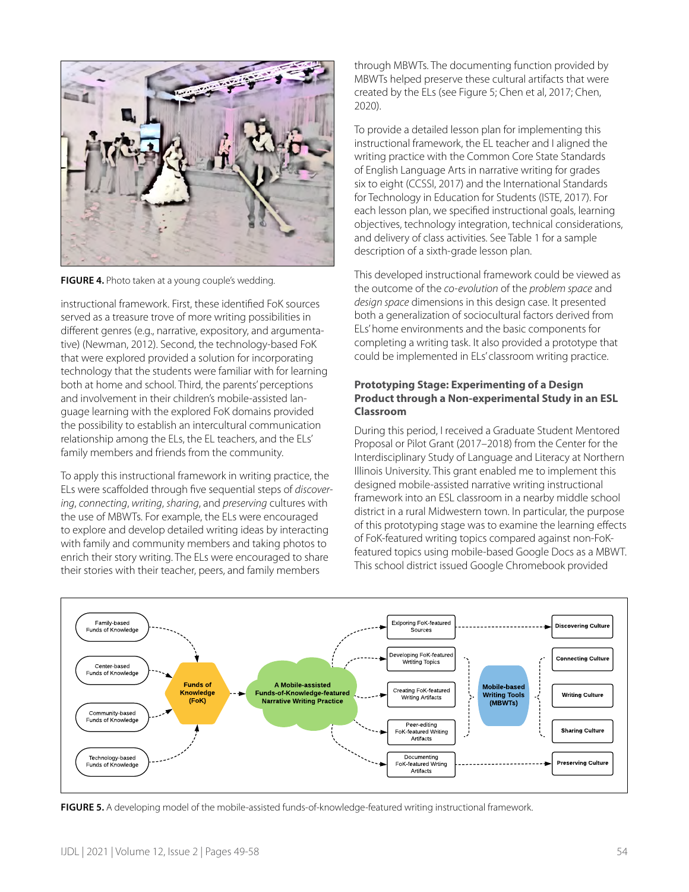

**FIGURE 4.** Photo taken at a young couple's wedding.

instructional framework. First, these identified FoK sources served as a treasure trove of more writing possibilities in different genres (e.g., narrative, expository, and argumentative) (Newman, 2012). Second, the technology-based FoK that were explored provided a solution for incorporating technology that the students were familiar with for learning both at home and school. Third, the parents' perceptions and involvement in their children's mobile-assisted language learning with the explored FoK domains provided the possibility to establish an intercultural communication relationship among the ELs, the EL teachers, and the ELs' family members and friends from the community.

To apply this instructional framework in writing practice, the ELs were scaffolded through five sequential steps of *discovering*, *connecting*, *writing*, *sharing*, and *preserving* cultures with the use of MBWTs. For example, the ELs were encouraged to explore and develop detailed writing ideas by interacting with family and community members and taking photos to enrich their story writing. The ELs were encouraged to share their stories with their teacher, peers, and family members

through MBWTs. The documenting function provided by MBWTs helped preserve these cultural artifacts that were created by the ELs (see Figure 5; Chen et al, 2017; Chen, 2020).

To provide a detailed lesson plan for implementing this instructional framework, the EL teacher and I aligned the writing practice with the Common Core State Standards of English Language Arts in narrative writing for grades six to eight (CCSSI, 2017) and the International Standards for Technology in Education for Students (ISTE, 2017). For each lesson plan, we specified instructional goals, learning objectives, technology integration, technical considerations, and delivery of class activities. See Table 1 for a sample description of a sixth-grade lesson plan.

This developed instructional framework could be viewed as the outcome of the *co-evolution* of the *problem space* and *design space* dimensions in this design case. It presented both a generalization of sociocultural factors derived from ELs' home environments and the basic components for completing a writing task. It also provided a prototype that could be implemented in ELs' classroom writing practice.

#### **Prototyping Stage: Experimenting of a Design Product through a Non-experimental Study in an ESL Classroom**

During this period, I received a Graduate Student Mentored Proposal or Pilot Grant (2017–2018) from the Center for the Interdisciplinary Study of Language and Literacy at Northern Illinois University. This grant enabled me to implement this designed mobile-assisted narrative writing instructional framework into an ESL classroom in a nearby middle school district in a rural Midwestern town. In particular, the purpose of this prototyping stage was to examine the learning effects of FoK-featured writing topics compared against non-FoKfeatured topics using mobile-based Google Docs as a MBWT. This school district issued Google Chromebook provided



**FIGURE 5.** A developing model of the mobile-assisted funds-of-knowledge-featured writing instructional framework.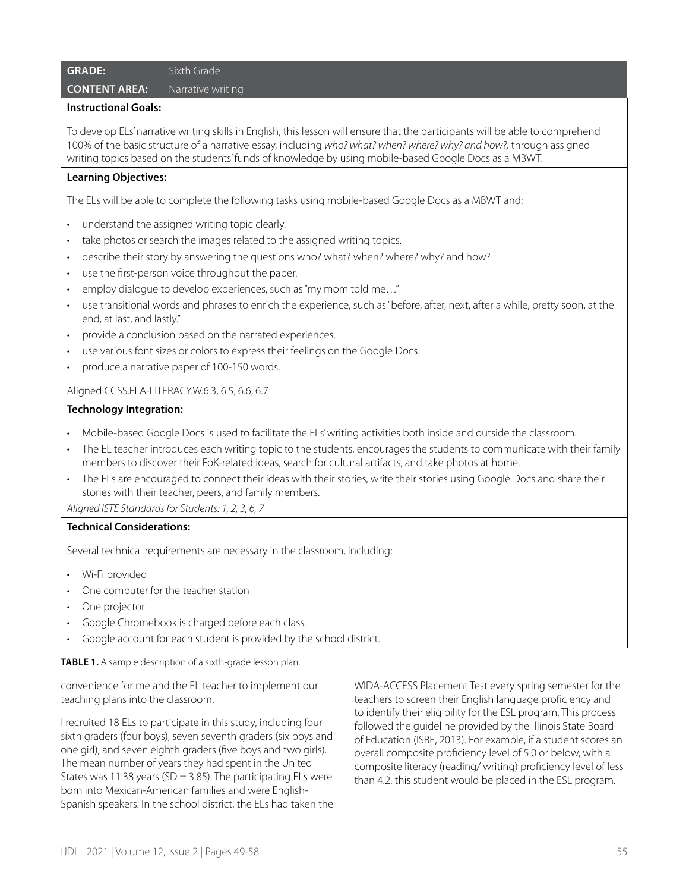| <b>GRADE:</b>                                                                                                                                                                                                                                                                                                                                                                                                                                                                                                                                                                                                                                                                                                                                                                        | Sixth Grade                                                                                                                                                    |                                                                                                                       |  |
|--------------------------------------------------------------------------------------------------------------------------------------------------------------------------------------------------------------------------------------------------------------------------------------------------------------------------------------------------------------------------------------------------------------------------------------------------------------------------------------------------------------------------------------------------------------------------------------------------------------------------------------------------------------------------------------------------------------------------------------------------------------------------------------|----------------------------------------------------------------------------------------------------------------------------------------------------------------|-----------------------------------------------------------------------------------------------------------------------|--|
| <b>CONTENT AREA:</b>                                                                                                                                                                                                                                                                                                                                                                                                                                                                                                                                                                                                                                                                                                                                                                 | Narrative writing                                                                                                                                              |                                                                                                                       |  |
| <b>Instructional Goals:</b>                                                                                                                                                                                                                                                                                                                                                                                                                                                                                                                                                                                                                                                                                                                                                          |                                                                                                                                                                |                                                                                                                       |  |
| To develop ELs' narrative writing skills in English, this lesson will ensure that the participants will be able to comprehend<br>100% of the basic structure of a narrative essay, including who? what? when? where? why? and how?, through assigned<br>writing topics based on the students' funds of knowledge by using mobile-based Google Docs as a MBWT.                                                                                                                                                                                                                                                                                                                                                                                                                        |                                                                                                                                                                |                                                                                                                       |  |
| <b>Learning Objectives:</b>                                                                                                                                                                                                                                                                                                                                                                                                                                                                                                                                                                                                                                                                                                                                                          |                                                                                                                                                                |                                                                                                                       |  |
|                                                                                                                                                                                                                                                                                                                                                                                                                                                                                                                                                                                                                                                                                                                                                                                      | The ELs will be able to complete the following tasks using mobile-based Google Docs as a MBWT and:                                                             |                                                                                                                       |  |
| understand the assigned writing topic clearly.<br>take photos or search the images related to the assigned writing topics.<br>$\bullet$<br>describe their story by answering the questions who? what? when? where? why? and how?<br>$\bullet$<br>use the first-person voice throughout the paper.<br>$\bullet$<br>employ dialogue to develop experiences, such as "my mom told me"<br>$\bullet$<br>use transitional words and phrases to enrich the experience, such as "before, after, next, after a while, pretty soon, at the<br>$\bullet$<br>end, at last, and lastly."<br>provide a conclusion based on the narrated experiences.<br>use various font sizes or colors to express their feelings on the Google Docs.<br>produce a narrative paper of 100-150 words.<br>$\bullet$ |                                                                                                                                                                |                                                                                                                       |  |
| Aligned CCSS.ELA-LITERACY.W.6.3, 6.5, 6.6, 6.7                                                                                                                                                                                                                                                                                                                                                                                                                                                                                                                                                                                                                                                                                                                                       |                                                                                                                                                                |                                                                                                                       |  |
| <b>Technology Integration:</b>                                                                                                                                                                                                                                                                                                                                                                                                                                                                                                                                                                                                                                                                                                                                                       |                                                                                                                                                                |                                                                                                                       |  |
| Mobile-based Google Docs is used to facilitate the ELs' writing activities both inside and outside the classroom.<br>The EL teacher introduces each writing topic to the students, encourages the students to communicate with their family<br>members to discover their FoK-related ideas, search for cultural artifacts, and take photos at home.<br>The ELs are encouraged to connect their ideas with their stories, write their stories using Google Docs and share their<br>stories with their teacher, peers, and family members.<br>Aligned ISTE Standards for Students: 1, 2, 3, 6, 7                                                                                                                                                                                       |                                                                                                                                                                |                                                                                                                       |  |
| <b>Technical Considerations:</b>                                                                                                                                                                                                                                                                                                                                                                                                                                                                                                                                                                                                                                                                                                                                                     |                                                                                                                                                                |                                                                                                                       |  |
| Several technical requirements are necessary in the classroom, including:                                                                                                                                                                                                                                                                                                                                                                                                                                                                                                                                                                                                                                                                                                            |                                                                                                                                                                |                                                                                                                       |  |
| Wi-Fi provided<br>One projector<br>$\bullet$                                                                                                                                                                                                                                                                                                                                                                                                                                                                                                                                                                                                                                                                                                                                         | One computer for the teacher station<br>Google Chromebook is charged before each class.<br>Google account for each student is provided by the school district. |                                                                                                                       |  |
|                                                                                                                                                                                                                                                                                                                                                                                                                                                                                                                                                                                                                                                                                                                                                                                      |                                                                                                                                                                |                                                                                                                       |  |
| TABLE 1. A sample description of a sixth-grade lesson plan.<br>convenience for me and the EL teacher to implement our<br>teaching plans into the classroom.                                                                                                                                                                                                                                                                                                                                                                                                                                                                                                                                                                                                                          |                                                                                                                                                                | WIDA-ACCESS Placement Test every spring semester for the<br>teachers to screen their English language proficiency and |  |

I recruited 18 ELs to participate in this study, including four sixth graders (four boys), seven seventh graders (six boys and one girl), and seven eighth graders (five boys and two girls). The mean number of years they had spent in the United States was 11.38 years (SD = 3.85). The participating ELs were born into Mexican-American families and were English-Spanish speakers. In the school district, the ELs had taken the

teachers to screen their English language proficiency and to identify their eligibility for the ESL program. This process followed the guideline provided by the Illinois State Board of Education (ISBE, 2013). For example, if a student scores an overall composite proficiency level of 5.0 or below, with a composite literacy (reading/ writing) proficiency level of less than 4.2, this student would be placed in the ESL program.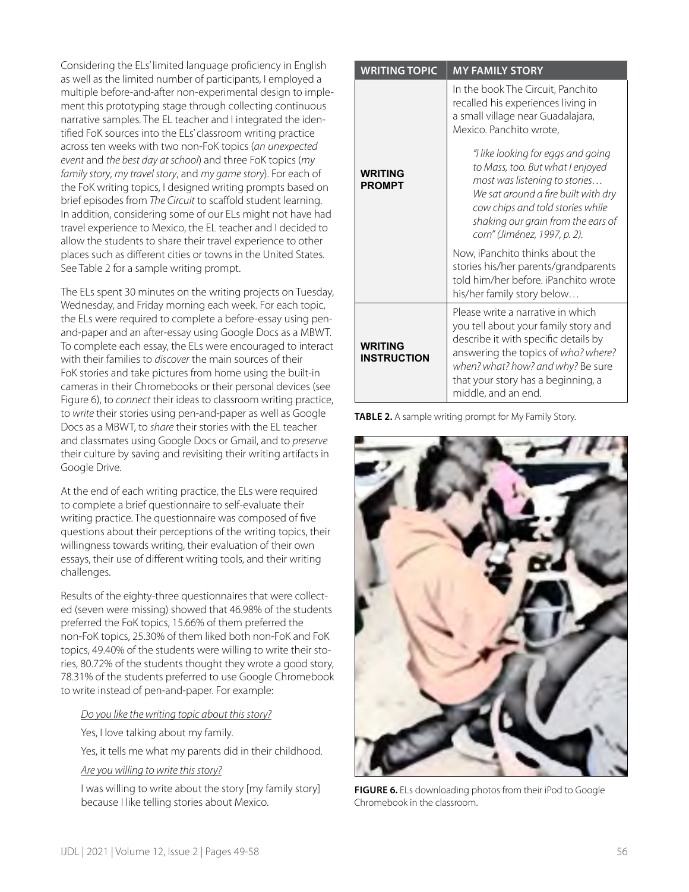Considering the ELs' limited language proficiency in English as well as the limited number of participants, I employed a multiple before-and-after non-experimental design to implement this prototyping stage through collecting continuous narrative samples. The EL teacher and I integrated the identified FoK sources into the ELs' classroom writing practice across ten weeks with two non-FoK topics (*an unexpected event* and *the best day at school*) and three FoK topics (*my family story*, *my travel story*, and *my game story*). For each of the FoK writing topics, I designed writing prompts based on brief episodes from *The Circuit* to scaffold student learning. In addition, considering some of our ELs might not have had travel experience to Mexico, the EL teacher and I decided to allow the students to share their travel experience to other places such as different cities or towns in the United States. See Table 2 for a sample writing prompt.

The ELs spent 30 minutes on the writing projects on Tuesday, Wednesday, and Friday morning each week. For each topic, the ELs were required to complete a before-essay using penand-paper and an after-essay using Google Docs as a MBWT. To complete each essay, the ELs were encouraged to interact with their families to *discover* the main sources of their FoK stories and take pictures from home using the built-in cameras in their Chromebooks or their personal devices (see Figure 6), to *connect* their ideas to classroom writing practice, to *write* their stories using pen-and-paper as well as Google Docs as a MBWT, to *share* their stories with the EL teacher and classmates using Google Docs or Gmail, and to *preserve* their culture by saving and revisiting their writing artifacts in Google Drive.

At the end of each writing practice, the ELs were required to complete a brief questionnaire to self-evaluate their writing practice. The questionnaire was composed of five questions about their perceptions of the writing topics, their willingness towards writing, their evaluation of their own essays, their use of different writing tools, and their writing challenges.

Results of the eighty-three questionnaires that were collected (seven were missing) showed that 46.98% of the students preferred the FoK topics, 15.66% of them preferred the non-FoK topics, 25.30% of them liked both non-FoK and FoK topics, 49.40% of the students were willing to write their stories, 80.72% of the students thought they wrote a good story, 78.31% of the students preferred to use Google Chromebook to write instead of pen-and-paper. For example:

#### *Do you like the writing topic about this story?*

Yes, I love talking about my family.

Yes, it tells me what my parents did in their childhood.

*Are you willing to write this story?*

I was willing to write about the story [my family story] because I like telling stories about Mexico.

| <b>WRITING TOPIC</b>                 | <b>MY FAMILY STORY</b>                                                                                                                                                                                                                                     |
|--------------------------------------|------------------------------------------------------------------------------------------------------------------------------------------------------------------------------------------------------------------------------------------------------------|
|                                      | In the book The Circuit, Panchito<br>recalled his experiences living in<br>a small village near Guadalajara,<br>Mexico. Panchito wrote,                                                                                                                    |
| <b>WRITING</b><br><b>PROMPT</b>      | "I like looking for eggs and going<br>to Mass, too. But what I enjoyed<br>most was listening to stories<br>We sat around a fire built with dry<br>cow chips and told stories while<br>shaking our grain from the ears of<br>corn" (Jiménez, 1997, p. 2).   |
|                                      | Now, iPanchito thinks about the<br>stories his/her parents/grandparents<br>told him/her before. iPanchito wrote<br>his/her family story below                                                                                                              |
| <b>WRITING</b><br><b>INSTRUCTION</b> | Please write a narrative in which<br>you tell about your family story and<br>describe it with specific details by<br>answering the topics of who? where?<br>when? what? how? and why? Be sure<br>that your story has a beginning, a<br>middle, and an end. |

**TABLE 2.** A sample writing prompt for My Family Story.



**FIGURE 6.** ELs downloading photos from their iPod to Google Chromebook in the classroom.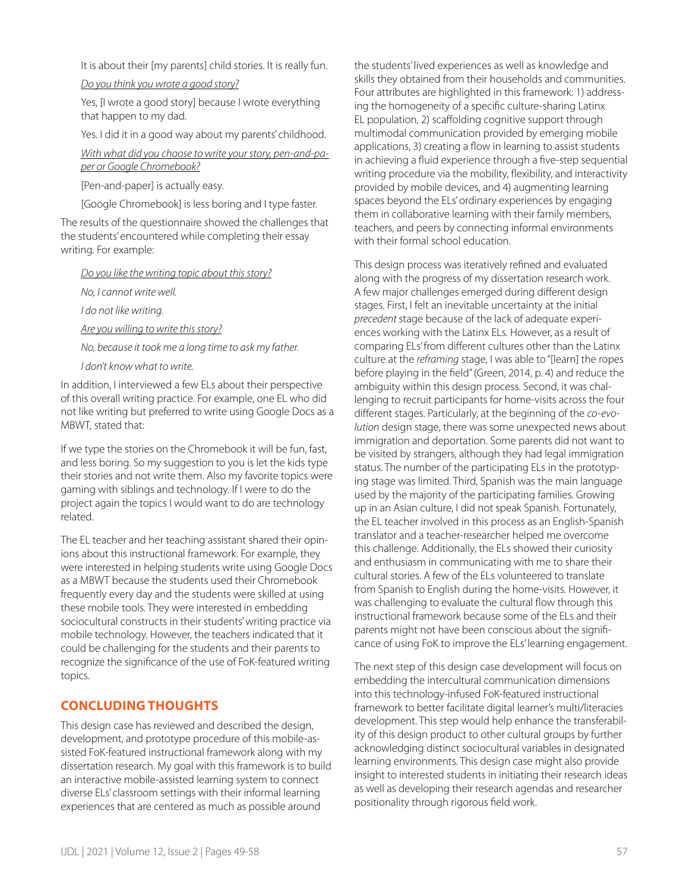It is about their [my parents] child stories. It is really fun.

*Do you think you wrote a good story?*

Yes, [I wrote a good story] because I wrote everything that happen to my dad.

Yes. I did it in a good way about my parents' childhood.

*With what did you choose to write your story, pen-and-paper or Google Chromebook?*

[Pen-and-paper] is actually easy.

[Google Chromebook] is less boring and I type faster.

The results of the questionnaire showed the challenges that the students' encountered while completing their essay writing. For example:

*Do you like the writing topic about this story?*

*No, I cannot write well.* 

*I do not like writing.* 

*Are you willing to write this story?*

*No, because it took me a long time to ask my father.*

*I don't know what to write.* 

In addition, I interviewed a few ELs about their perspective of this overall writing practice. For example, one EL who did not like writing but preferred to write using Google Docs as a MBWT, stated that:

If we type the stories on the Chromebook it will be fun, fast, and less boring. So my suggestion to you is let the kids type their stories and not write them. Also my favorite topics were gaming with siblings and technology. If I were to do the project again the topics I would want to do are technology related.

The EL teacher and her teaching assistant shared their opinions about this instructional framework. For example, they were interested in helping students write using Google Docs as a MBWT because the students used their Chromebook frequently every day and the students were skilled at using these mobile tools. They were interested in embedding sociocultural constructs in their students' writing practice via mobile technology. However, the teachers indicated that it could be challenging for the students and their parents to recognize the significance of the use of FoK-featured writing topics.

# **CONCLUDING THOUGHTS**

This design case has reviewed and described the design, development, and prototype procedure of this mobile-assisted FoK-featured instructional framework along with my dissertation research. My goal with this framework is to build an interactive mobile-assisted learning system to connect diverse ELs' classroom settings with their informal learning experiences that are centered as much as possible around

the students' lived experiences as well as knowledge and skills they obtained from their households and communities. Four attributes are highlighted in this framework: 1) addressing the homogeneity of a specific culture-sharing Latinx EL population, 2) scaffolding cognitive support through multimodal communication provided by emerging mobile applications, 3) creating a flow in learning to assist students in achieving a fluid experience through a five-step sequential writing procedure via the mobility, flexibility, and interactivity provided by mobile devices, and 4) augmenting learning spaces beyond the ELs' ordinary experiences by engaging them in collaborative learning with their family members, teachers, and peers by connecting informal environments with their formal school education.

This design process was iteratively refined and evaluated along with the progress of my dissertation research work. A few major challenges emerged during different design stages. First, I felt an inevitable uncertainty at the initial *precedent* stage because of the lack of adequate experiences working with the Latinx ELs. However, as a result of comparing ELs' from different cultures other than the Latinx culture at the *reframing* stage, I was able to "[learn] the ropes before playing in the field" (Green, 2014, p. 4) and reduce the ambiguity within this design process. Second, it was challenging to recruit participants for home-visits across the four different stages. Particularly, at the beginning of the *co-evolution* design stage, there was some unexpected news about immigration and deportation. Some parents did not want to be visited by strangers, although they had legal immigration status. The number of the participating ELs in the prototyping stage was limited. Third, Spanish was the main language used by the majority of the participating families. Growing up in an Asian culture, I did not speak Spanish. Fortunately, the EL teacher involved in this process as an English-Spanish translator and a teacher-researcher helped me overcome this challenge. Additionally, the ELs showed their curiosity and enthusiasm in communicating with me to share their cultural stories. A few of the ELs volunteered to translate from Spanish to English during the home-visits. However, it was challenging to evaluate the cultural flow through this instructional framework because some of the ELs and their parents might not have been conscious about the significance of using FoK to improve the ELs' learning engagement.

The next step of this design case development will focus on embedding the intercultural communication dimensions into this technology-infused FoK-featured instructional framework to better facilitate digital learner's multi/literacies development. This step would help enhance the transferability of this design product to other cultural groups by further acknowledging distinct sociocultural variables in designated learning environments. This design case might also provide insight to interested students in initiating their research ideas as well as developing their research agendas and researcher positionality through rigorous field work.